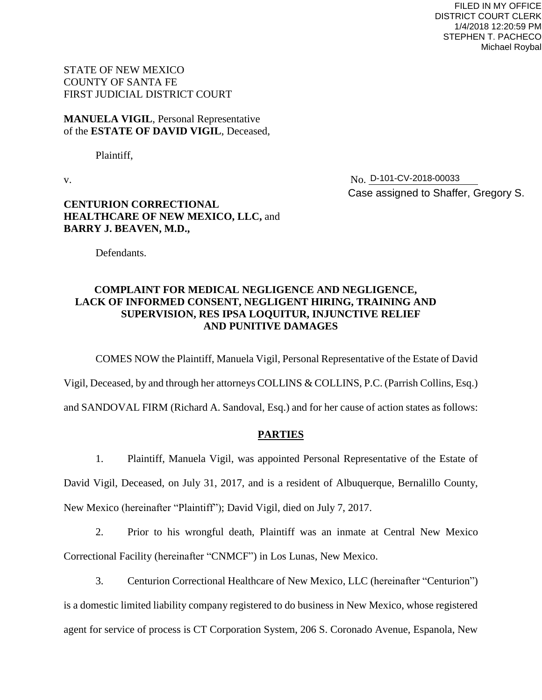FILED IN MY OFFICE DISTRICT COURT CLERK 1/4/2018 12:20:59 PM STEPHEN T. PACHECO Michael Roybal

STATE OF NEW MEXICO COUNTY OF SANTA FE FIRST JUDICIAL DISTRICT COURT

**MANUELA VIGIL**, Personal Representative of the **ESTATE OF DAVID VIGIL**, Deceased,

Plaintiff,

v. No. No. D-101-CV-2018-00033 Case assigned to Shaffer, Gregory S.

# **CENTURION CORRECTIONAL HEALTHCARE OF NEW MEXICO, LLC,** and **BARRY J. BEAVEN, M.D.,**

Defendants.

# **COMPLAINT FOR MEDICAL NEGLIGENCE AND NEGLIGENCE, LACK OF INFORMED CONSENT, NEGLIGENT HIRING, TRAINING AND SUPERVISION, RES IPSA LOQUITUR, INJUNCTIVE RELIEF AND PUNITIVE DAMAGES**

COMES NOW the Plaintiff, Manuela Vigil, Personal Representative of the Estate of David

Vigil, Deceased, by and through her attorneys COLLINS & COLLINS, P.C. (Parrish Collins, Esq.)

and SANDOVAL FIRM (Richard A. Sandoval, Esq.) and for her cause of action states as follows:

#### **PARTIES**

1. Plaintiff, Manuela Vigil, was appointed Personal Representative of the Estate of

David Vigil, Deceased, on July 31, 2017, and is a resident of Albuquerque, Bernalillo County,

New Mexico (hereinafter "Plaintiff"); David Vigil, died on July 7, 2017.

2. Prior to his wrongful death, Plaintiff was an inmate at Central New Mexico Correctional Facility (hereinafter "CNMCF") in Los Lunas, New Mexico.

3. Centurion Correctional Healthcare of New Mexico, LLC (hereinafter "Centurion") is a domestic limited liability company registered to do business in New Mexico, whose registered agent for service of process is CT Corporation System, 206 S. Coronado Avenue, Espanola, New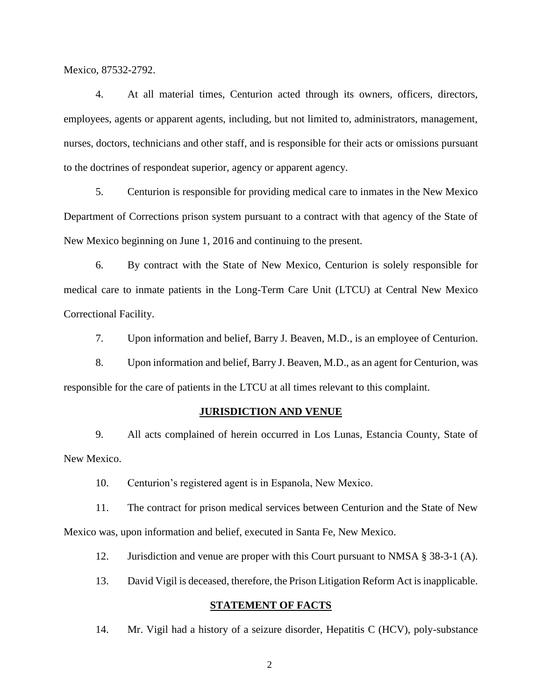Mexico, 87532-2792.

4. At all material times, Centurion acted through its owners, officers, directors, employees, agents or apparent agents, including, but not limited to, administrators, management, nurses, doctors, technicians and other staff, and is responsible for their acts or omissions pursuant to the doctrines of respondeat superior, agency or apparent agency.

5. Centurion is responsible for providing medical care to inmates in the New Mexico Department of Corrections prison system pursuant to a contract with that agency of the State of New Mexico beginning on June 1, 2016 and continuing to the present.

6. By contract with the State of New Mexico, Centurion is solely responsible for medical care to inmate patients in the Long-Term Care Unit (LTCU) at Central New Mexico Correctional Facility.

7. Upon information and belief, Barry J. Beaven, M.D., is an employee of Centurion.

8. Upon information and belief, Barry J. Beaven, M.D., as an agent for Centurion, was responsible for the care of patients in the LTCU at all times relevant to this complaint.

#### **JURISDICTION AND VENUE**

9. All acts complained of herein occurred in Los Lunas, Estancia County, State of New Mexico.

10. Centurion's registered agent is in Espanola, New Mexico.

11. The contract for prison medical services between Centurion and the State of New Mexico was, upon information and belief, executed in Santa Fe, New Mexico.

12. Jurisdiction and venue are proper with this Court pursuant to NMSA § 38-3-1 (A).

13. David Vigil is deceased, therefore, the Prison Litigation Reform Act is inapplicable.

#### **STATEMENT OF FACTS**

14. Mr. Vigil had a history of a seizure disorder, Hepatitis C (HCV), poly-substance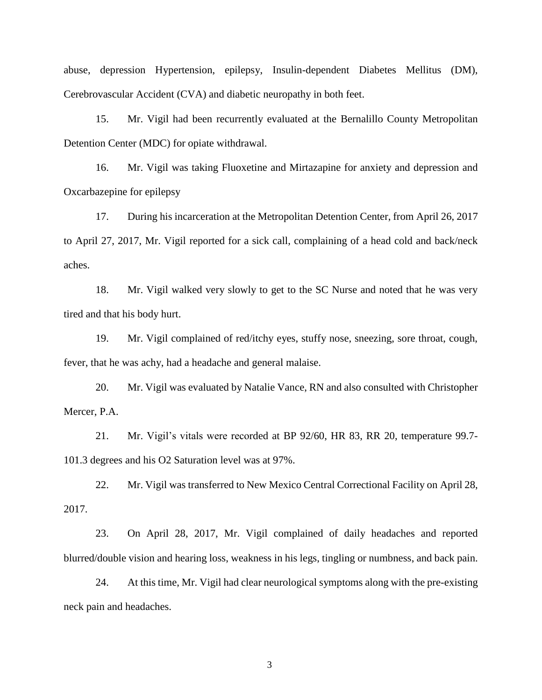abuse, depression Hypertension, epilepsy, Insulin-dependent Diabetes Mellitus (DM), Cerebrovascular Accident (CVA) and diabetic neuropathy in both feet.

15. Mr. Vigil had been recurrently evaluated at the Bernalillo County Metropolitan Detention Center (MDC) for opiate withdrawal.

16. Mr. Vigil was taking Fluoxetine and Mirtazapine for anxiety and depression and Oxcarbazepine for epilepsy

17. During his incarceration at the Metropolitan Detention Center, from April 26, 2017 to April 27, 2017, Mr. Vigil reported for a sick call, complaining of a head cold and back/neck aches.

18. Mr. Vigil walked very slowly to get to the SC Nurse and noted that he was very tired and that his body hurt.

19. Mr. Vigil complained of red/itchy eyes, stuffy nose, sneezing, sore throat, cough, fever, that he was achy, had a headache and general malaise.

20. Mr. Vigil was evaluated by Natalie Vance, RN and also consulted with Christopher Mercer, P.A.

21. Mr. Vigil's vitals were recorded at BP 92/60, HR 83, RR 20, temperature 99.7- 101.3 degrees and his O2 Saturation level was at 97%.

22. Mr. Vigil was transferred to New Mexico Central Correctional Facility on April 28, 2017.

23. On April 28, 2017, Mr. Vigil complained of daily headaches and reported blurred/double vision and hearing loss, weakness in his legs, tingling or numbness, and back pain.

24. At this time, Mr. Vigil had clear neurological symptoms along with the pre-existing neck pain and headaches.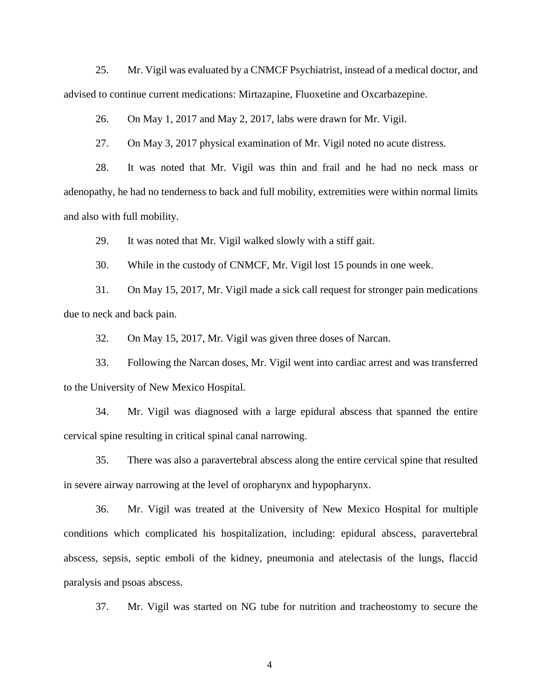25. Mr. Vigil was evaluated by a CNMCF Psychiatrist, instead of a medical doctor, and advised to continue current medications: Mirtazapine, Fluoxetine and Oxcarbazepine.

26. On May 1, 2017 and May 2, 2017, labs were drawn for Mr. Vigil.

27. On May 3, 2017 physical examination of Mr. Vigil noted no acute distress.

28. It was noted that Mr. Vigil was thin and frail and he had no neck mass or adenopathy, he had no tenderness to back and full mobility, extremities were within normal limits and also with full mobility.

29. It was noted that Mr. Vigil walked slowly with a stiff gait.

30. While in the custody of CNMCF, Mr. Vigil lost 15 pounds in one week.

31. On May 15, 2017, Mr. Vigil made a sick call request for stronger pain medications due to neck and back pain.

32. On May 15, 2017, Mr. Vigil was given three doses of Narcan.

33. Following the Narcan doses, Mr. Vigil went into cardiac arrest and was transferred to the University of New Mexico Hospital.

34. Mr. Vigil was diagnosed with a large epidural abscess that spanned the entire cervical spine resulting in critical spinal canal narrowing.

35. There was also a paravertebral abscess along the entire cervical spine that resulted in severe airway narrowing at the level of oropharynx and hypopharynx.

36. Mr. Vigil was treated at the University of New Mexico Hospital for multiple conditions which complicated his hospitalization, including: epidural abscess, paravertebral abscess, sepsis, septic emboli of the kidney, pneumonia and atelectasis of the lungs, flaccid paralysis and psoas abscess.

37. Mr. Vigil was started on NG tube for nutrition and tracheostomy to secure the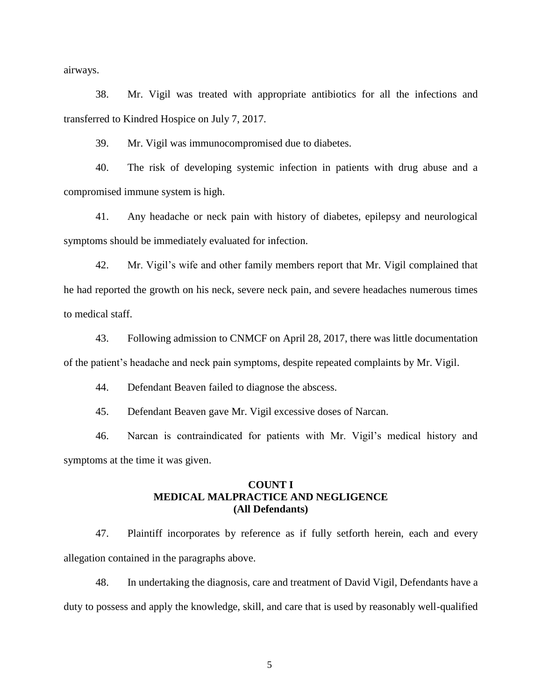airways.

38. Mr. Vigil was treated with appropriate antibiotics for all the infections and transferred to Kindred Hospice on July 7, 2017.

39. Mr. Vigil was immunocompromised due to diabetes.

40. The risk of developing systemic infection in patients with drug abuse and a compromised immune system is high.

41. Any headache or neck pain with history of diabetes, epilepsy and neurological symptoms should be immediately evaluated for infection.

42. Mr. Vigil's wife and other family members report that Mr. Vigil complained that he had reported the growth on his neck, severe neck pain, and severe headaches numerous times to medical staff.

43. Following admission to CNMCF on April 28, 2017, there was little documentation of the patient's headache and neck pain symptoms, despite repeated complaints by Mr. Vigil.

44. Defendant Beaven failed to diagnose the abscess.

45. Defendant Beaven gave Mr. Vigil excessive doses of Narcan.

46. Narcan is contraindicated for patients with Mr. Vigil's medical history and symptoms at the time it was given.

#### **COUNT I MEDICAL MALPRACTICE AND NEGLIGENCE (All Defendants)**

47. Plaintiff incorporates by reference as if fully setforth herein, each and every allegation contained in the paragraphs above.

48. In undertaking the diagnosis, care and treatment of David Vigil, Defendants have a duty to possess and apply the knowledge, skill, and care that is used by reasonably well-qualified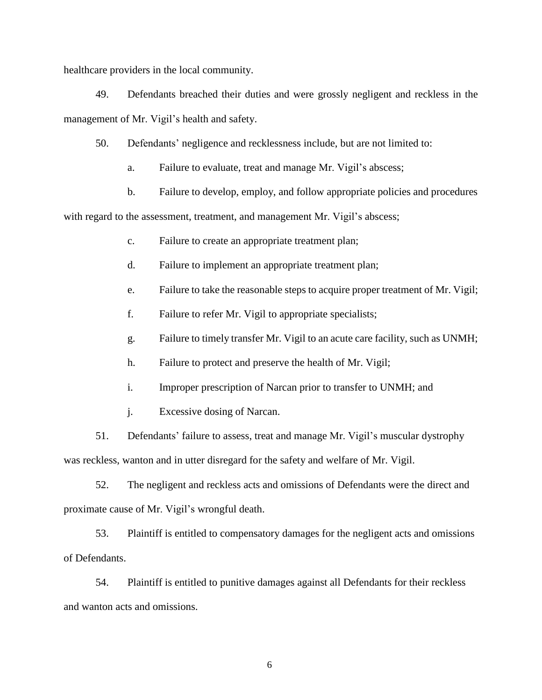healthcare providers in the local community.

49. Defendants breached their duties and were grossly negligent and reckless in the management of Mr. Vigil's health and safety.

50. Defendants' negligence and recklessness include, but are not limited to:

a. Failure to evaluate, treat and manage Mr. Vigil's abscess;

b. Failure to develop, employ, and follow appropriate policies and procedures

with regard to the assessment, treatment, and management Mr. Vigil's abscess;

- c. Failure to create an appropriate treatment plan;
- d. Failure to implement an appropriate treatment plan;
- e. Failure to take the reasonable steps to acquire proper treatment of Mr. Vigil;
- f. Failure to refer Mr. Vigil to appropriate specialists;
- g. Failure to timely transfer Mr. Vigil to an acute care facility, such as UNMH;
- h. Failure to protect and preserve the health of Mr. Vigil;
- i. Improper prescription of Narcan prior to transfer to UNMH; and
- j. Excessive dosing of Narcan.

51. Defendants' failure to assess, treat and manage Mr. Vigil's muscular dystrophy was reckless, wanton and in utter disregard for the safety and welfare of Mr. Vigil.

52. The negligent and reckless acts and omissions of Defendants were the direct and proximate cause of Mr. Vigil's wrongful death.

53. Plaintiff is entitled to compensatory damages for the negligent acts and omissions of Defendants.

54. Plaintiff is entitled to punitive damages against all Defendants for their reckless and wanton acts and omissions.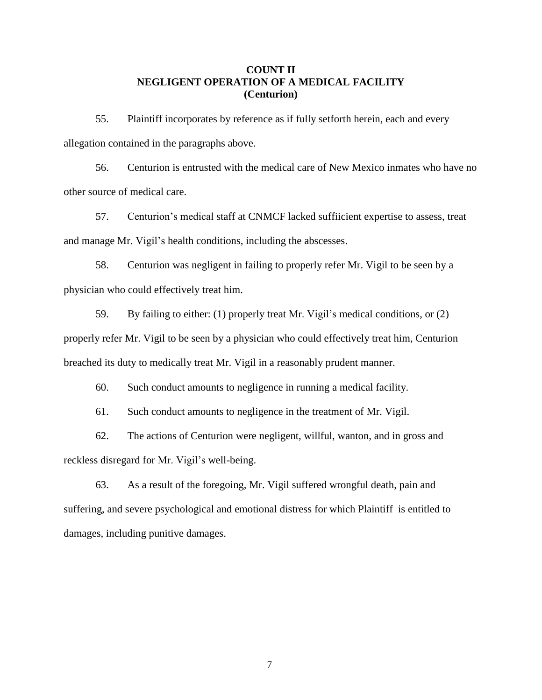# **COUNT II NEGLIGENT OPERATION OF A MEDICAL FACILITY (Centurion)**

55. Plaintiff incorporates by reference as if fully setforth herein, each and every allegation contained in the paragraphs above.

56. Centurion is entrusted with the medical care of New Mexico inmates who have no other source of medical care.

57. Centurion's medical staff at CNMCF lacked suffiicient expertise to assess, treat and manage Mr. Vigil's health conditions, including the abscesses.

58. Centurion was negligent in failing to properly refer Mr. Vigil to be seen by a physician who could effectively treat him.

59. By failing to either: (1) properly treat Mr. Vigil's medical conditions, or (2) properly refer Mr. Vigil to be seen by a physician who could effectively treat him, Centurion breached its duty to medically treat Mr. Vigil in a reasonably prudent manner.

60. Such conduct amounts to negligence in running a medical facility.

61. Such conduct amounts to negligence in the treatment of Mr. Vigil.

62. The actions of Centurion were negligent, willful, wanton, and in gross and reckless disregard for Mr. Vigil's well-being.

63. As a result of the foregoing, Mr. Vigil suffered wrongful death, pain and suffering, and severe psychological and emotional distress for which Plaintiff is entitled to damages, including punitive damages.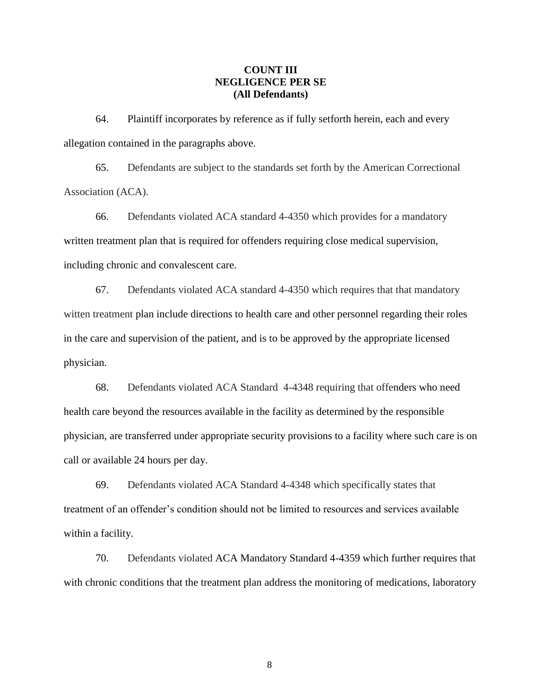### **COUNT III NEGLIGENCE PER SE (All Defendants)**

64. Plaintiff incorporates by reference as if fully setforth herein, each and every allegation contained in the paragraphs above.

65. Defendants are subject to the standards set forth by the American Correctional Association (ACA).

66. Defendants violated ACA standard 4-4350 which provides for a mandatory written treatment plan that is required for offenders requiring close medical supervision, including chronic and convalescent care.

67. Defendants violated ACA standard 4-4350 which requires that that mandatory witten treatment plan include directions to health care and other personnel regarding their roles in the care and supervision of the patient, and is to be approved by the appropriate licensed physician.

68. Defendants violated ACA Standard 4-4348 requiring that offenders who need health care beyond the resources available in the facility as determined by the responsible physician, are transferred under appropriate security provisions to a facility where such care is on call or available 24 hours per day.

69. Defendants violated ACA Standard 4-4348 which specifically states that treatment of an offender's condition should not be limited to resources and services available within a facility.

70. Defendants violated ACA Mandatory Standard 4-4359 which further requires that with chronic conditions that the treatment plan address the monitoring of medications, laboratory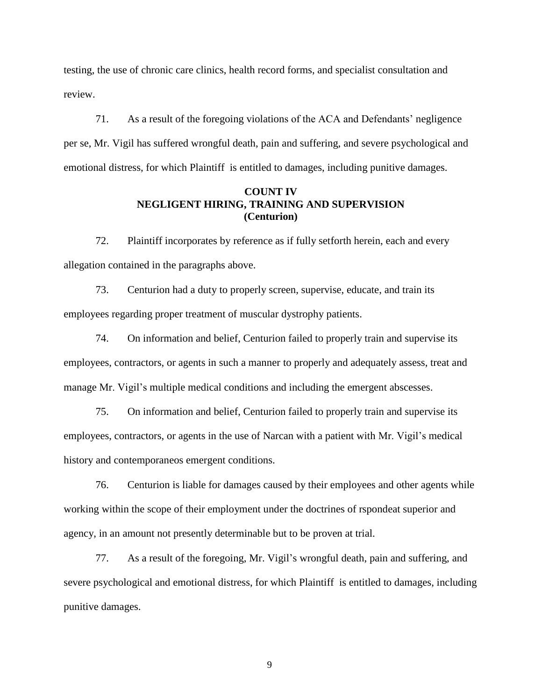testing, the use of chronic care clinics, health record forms, and specialist consultation and review.

71. As a result of the foregoing violations of the ACA and Defendants' negligence per se, Mr. Vigil has suffered wrongful death, pain and suffering, and severe psychological and emotional distress, for which Plaintiff is entitled to damages, including punitive damages.

# **COUNT IV NEGLIGENT HIRING, TRAINING AND SUPERVISION (Centurion)**

72. Plaintiff incorporates by reference as if fully setforth herein, each and every allegation contained in the paragraphs above.

73. Centurion had a duty to properly screen, supervise, educate, and train its employees regarding proper treatment of muscular dystrophy patients.

74. On information and belief, Centurion failed to properly train and supervise its employees, contractors, or agents in such a manner to properly and adequately assess, treat and manage Mr. Vigil's multiple medical conditions and including the emergent abscesses.

75. On information and belief, Centurion failed to properly train and supervise its employees, contractors, or agents in the use of Narcan with a patient with Mr. Vigil's medical history and contemporaneos emergent conditions.

76. Centurion is liable for damages caused by their employees and other agents while working within the scope of their employment under the doctrines of rspondeat superior and agency, in an amount not presently determinable but to be proven at trial.

77. As a result of the foregoing, Mr. Vigil's wrongful death, pain and suffering, and severe psychological and emotional distress, for which Plaintiff is entitled to damages, including punitive damages.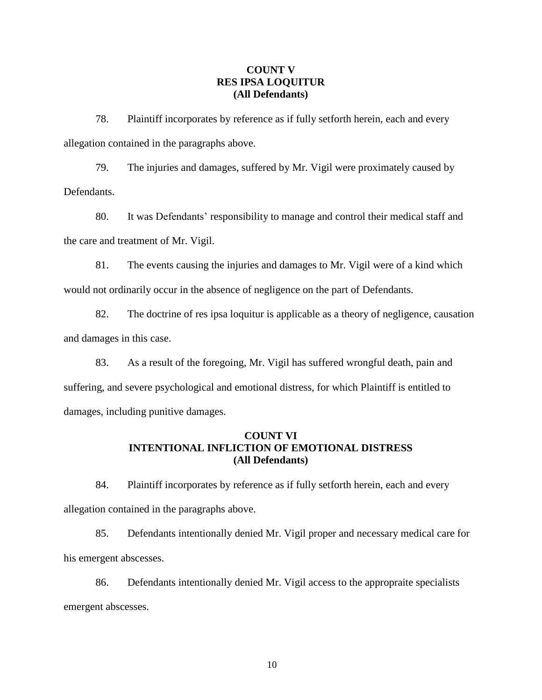# **COUNT V RES IPSA LOQUITUR (All Defendants)**

78. Plaintiff incorporates by reference as if fully setforth herein, each and every allegation contained in the paragraphs above.

79. The injuries and damages, suffered by Mr. Vigil were proximately caused by Defendants.

80. It was Defendants' responsibility to manage and control their medical staff and the care and treatment of Mr. Vigil.

81. The events causing the injuries and damages to Mr. Vigil were of a kind which would not ordinarily occur in the absence of negligence on the part of Defendants.

82. The doctrine of res ipsa loquitur is applicable as a theory of negligence, causation and damages in this case.

83. As a result of the foregoing, Mr. Vigil has suffered wrongful death, pain and suffering, and severe psychological and emotional distress, for which Plaintiff is entitled to damages, including punitive damages.

# **COUNT VI INTENTIONAL INFLICTION OF EMOTIONAL DISTRESS (All Defendants)**

84. Plaintiff incorporates by reference as if fully setforth herein, each and every allegation contained in the paragraphs above.

85. Defendants intentionally denied Mr. Vigil proper and necessary medical care for his emergent abscesses.

86. Defendants intentionally denied Mr. Vigil access to the appropraite specialists emergent abscesses.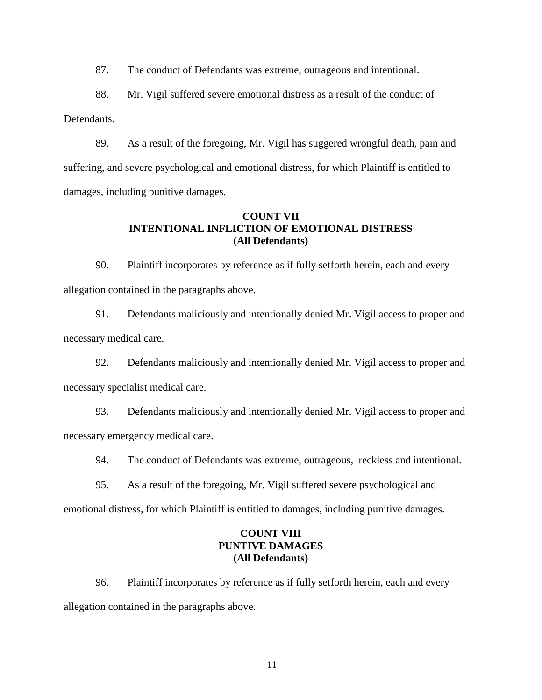87. The conduct of Defendants was extreme, outrageous and intentional.

88. Mr. Vigil suffered severe emotional distress as a result of the conduct of Defendants.

89. As a result of the foregoing, Mr. Vigil has suggered wrongful death, pain and suffering, and severe psychological and emotional distress, for which Plaintiff is entitled to damages, including punitive damages.

# **COUNT VII INTENTIONAL INFLICTION OF EMOTIONAL DISTRESS (All Defendants)**

90. Plaintiff incorporates by reference as if fully setforth herein, each and every allegation contained in the paragraphs above.

91. Defendants maliciously and intentionally denied Mr. Vigil access to proper and necessary medical care.

92. Defendants maliciously and intentionally denied Mr. Vigil access to proper and necessary specialist medical care.

93. Defendants maliciously and intentionally denied Mr. Vigil access to proper and necessary emergency medical care.

94. The conduct of Defendants was extreme, outrageous, reckless and intentional.

95. As a result of the foregoing, Mr. Vigil suffered severe psychological and

emotional distress, for which Plaintiff is entitled to damages, including punitive damages.

# **COUNT VIII PUNTIVE DAMAGES (All Defendants)**

96. Plaintiff incorporates by reference as if fully setforth herein, each and every allegation contained in the paragraphs above.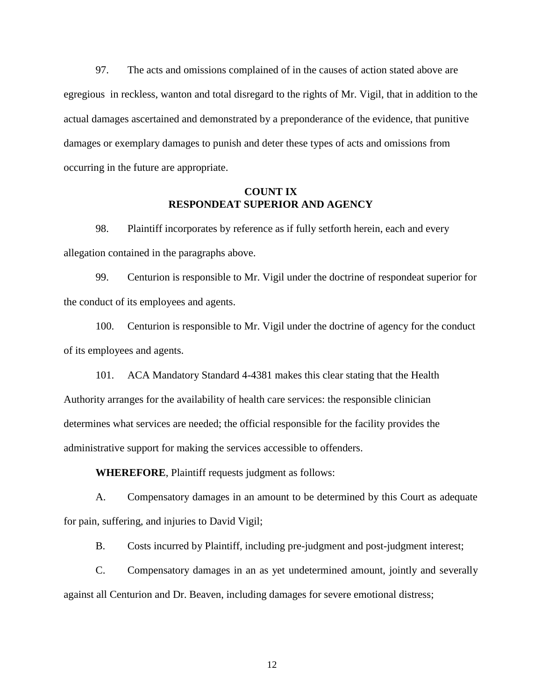97. The acts and omissions complained of in the causes of action stated above are egregious in reckless, wanton and total disregard to the rights of Mr. Vigil, that in addition to the actual damages ascertained and demonstrated by a preponderance of the evidence, that punitive damages or exemplary damages to punish and deter these types of acts and omissions from occurring in the future are appropriate.

## **COUNT IX RESPONDEAT SUPERIOR AND AGENCY**

98. Plaintiff incorporates by reference as if fully setforth herein, each and every allegation contained in the paragraphs above.

99. Centurion is responsible to Mr. Vigil under the doctrine of respondeat superior for the conduct of its employees and agents.

100. Centurion is responsible to Mr. Vigil under the doctrine of agency for the conduct of its employees and agents.

101. ACA Mandatory Standard 4-4381 makes this clear stating that the Health Authority arranges for the availability of health care services: the responsible clinician determines what services are needed; the official responsible for the facility provides the administrative support for making the services accessible to offenders.

**WHEREFORE**, Plaintiff requests judgment as follows:

A. Compensatory damages in an amount to be determined by this Court as adequate for pain, suffering, and injuries to David Vigil;

B. Costs incurred by Plaintiff, including pre-judgment and post-judgment interest;

C. Compensatory damages in an as yet undetermined amount, jointly and severally against all Centurion and Dr. Beaven, including damages for severe emotional distress;